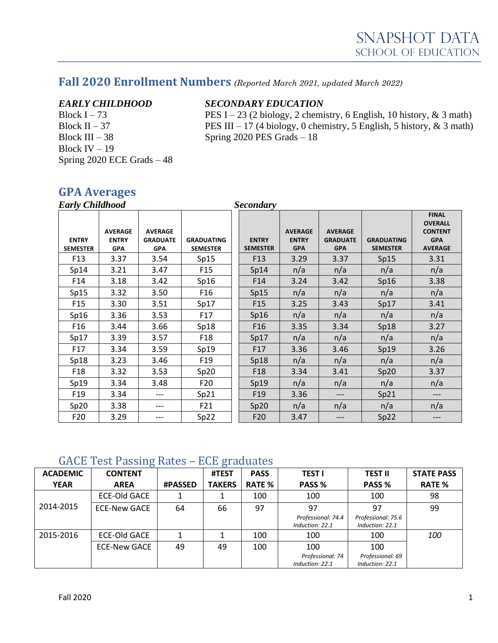## **Fall 2020 Enrollment Numbers** *(Reported March 2021, updated March 2022)*

Block III – 38 Spring 2020 PES Grads – 18 Block IV – 19 Spring 2020 ECE Grads – 48

#### *EARLY CHILDHOOD SECONDARY EDUCATION*

Block I – 73 PES I – 23 (2 biology, 2 chemistry, 6 English, 10 history,  $\&$  3 math) Block II – 37 PES III – 17 (4 biology, 0 chemistry, 5 English, 5 history,  $\&$  3 math)

### **GPA Averages**

| <b>Early Childhood</b>          |                                              |                                                 |                                      | <b>Secondary</b>                |                                              |                                                 |                                      |                                                                                  |
|---------------------------------|----------------------------------------------|-------------------------------------------------|--------------------------------------|---------------------------------|----------------------------------------------|-------------------------------------------------|--------------------------------------|----------------------------------------------------------------------------------|
| <b>ENTRY</b><br><b>SEMESTER</b> | <b>AVERAGE</b><br><b>ENTRY</b><br><b>GPA</b> | <b>AVERAGE</b><br><b>GRADUATE</b><br><b>GPA</b> | <b>GRADUATING</b><br><b>SEMESTER</b> | <b>ENTRY</b><br><b>SEMESTER</b> | <b>AVERAGE</b><br><b>ENTRY</b><br><b>GPA</b> | <b>AVERAGE</b><br><b>GRADUATE</b><br><b>GPA</b> | <b>GRADUATING</b><br><b>SEMESTER</b> | <b>FINAL</b><br><b>OVERALL</b><br><b>CONTENT</b><br><b>GPA</b><br><b>AVERAGE</b> |
| F <sub>13</sub>                 | 3.37                                         | 3.54                                            | Sp15                                 | F <sub>13</sub>                 | 3.29                                         | 3.37                                            | Sp15                                 | 3.31                                                                             |
| Sp14                            | 3.21                                         | 3.47                                            | F <sub>15</sub>                      | Sp14                            | n/a                                          | n/a                                             | n/a                                  | n/a                                                                              |
| F14                             | 3.18                                         | 3.42                                            | Sp16                                 | F <sub>14</sub>                 | 3.24                                         | 3.42                                            | Sp16                                 | 3.38                                                                             |
| Sp15                            | 3.32                                         | 3.50                                            | F <sub>16</sub>                      | Sp15                            | n/a                                          | n/a                                             | n/a                                  | n/a                                                                              |
| F <sub>15</sub>                 | 3.30                                         | 3.51                                            | Sp17                                 | F <sub>15</sub>                 | 3.25                                         | 3.43                                            | Sp17                                 | 3.41                                                                             |
| Sp16                            | 3.36                                         | 3.53                                            | F17                                  | Sp16                            | n/a                                          | n/a                                             | n/a                                  | n/a                                                                              |
| F <sub>16</sub>                 | 3.44                                         | 3.66                                            | Sp18                                 | F <sub>16</sub>                 | 3.35                                         | 3.34                                            | Sp18                                 | 3.27                                                                             |
| Sp17                            | 3.39                                         | 3.57                                            | F <sub>18</sub>                      | Sp17                            | n/a                                          | n/a                                             | n/a                                  | n/a                                                                              |
| F17                             | 3.34                                         | 3.59                                            | Sp19                                 | F17                             | 3.36                                         | 3.46                                            | Sp19                                 | 3.26                                                                             |
| Sp18                            | 3.23                                         | 3.46                                            | F <sub>19</sub>                      | Sp18                            | n/a                                          | n/a                                             | n/a                                  | n/a                                                                              |
| F <sub>18</sub>                 | 3.32                                         | 3.53                                            | Sp20                                 | F <sub>18</sub>                 | 3.34                                         | 3.41                                            | Sp20                                 | 3.37                                                                             |
| Sp19                            | 3.34                                         | 3.48                                            | F20                                  | Sp19                            | n/a                                          | n/a                                             | n/a                                  | n/a                                                                              |
| F <sub>19</sub>                 | 3.34                                         | $---$                                           | Sp21                                 | F <sub>19</sub>                 | 3.36                                         | ---                                             | Sp21                                 | ---                                                                              |
| Sp20                            | 3.38                                         | ---                                             | F21                                  | Sp20                            | n/a                                          | n/a                                             | n/a                                  | n/a                                                                              |
| F20                             | 3.29                                         | $---$                                           | Sp22                                 | F20                             | 3.47                                         | ---                                             | Sp22                                 | ---                                                                              |

#### GACE Test Passing Rates – ECE graduates

| <b>ACADEMIC</b> | ഄ<br><b>CONTENT</b> |                | ഄ<br>#TEST    | <b>PASS</b>   | <b>TEST I</b>                         | TEST II                               | <b>STATE PASS</b> |
|-----------------|---------------------|----------------|---------------|---------------|---------------------------------------|---------------------------------------|-------------------|
| <b>YEAR</b>     | <b>AREA</b>         | <b>#PASSED</b> | <b>TAKERS</b> | <b>RATE %</b> | PASS %                                | PASS %                                | <b>RATE %</b>     |
|                 | <b>ECE-Old GACE</b> |                |               | 100           | 100                                   | 100                                   | 98                |
| 2014-2015       | <b>ECE-New GACE</b> | 64             | 66            | 97            | 97                                    | 97                                    | 99                |
|                 |                     |                |               |               | Professional: 74.4<br>Induction: 22.1 | Professional: 75.6<br>Induction: 22.1 |                   |
| 2015-2016       | <b>ECE-Old GACE</b> |                |               | 100           | 100                                   | 100                                   | 100               |
|                 | <b>ECE-New GACE</b> | 49             | 49            | 100           | 100                                   | 100                                   |                   |
|                 |                     |                |               |               | Professional: 74<br>Induction: 22.1   | Professional: 69<br>Induction: 22.1   |                   |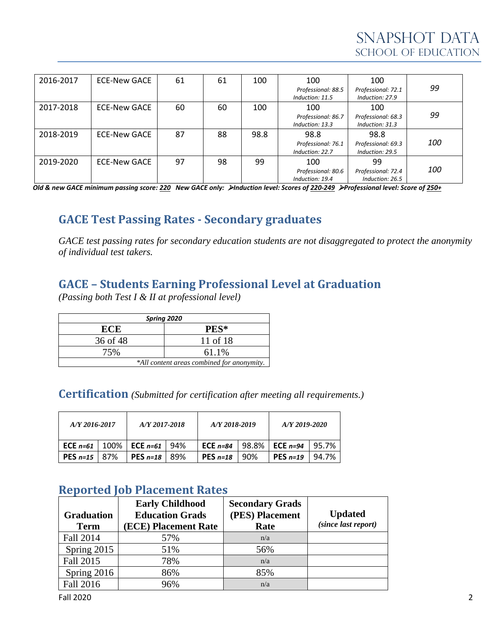| 2016-2017 | ECE-New GACE | 61 | 61 | 100  | 100                                   | 100                                   |            |
|-----------|--------------|----|----|------|---------------------------------------|---------------------------------------|------------|
|           |              |    |    |      | Professional: 88.5<br>Induction: 11.5 | Professional: 72.1<br>Induction: 27.9 | 99         |
| 2017-2018 | ECE-New GACE | 60 | 60 | 100  | 100                                   | 100                                   |            |
|           |              |    |    |      | Professional: 86.7                    | Professional: 68.3                    | 99         |
|           |              |    |    |      | Induction: 13.3                       | Induction: 31.3                       |            |
| 2018-2019 | ECE-New GACE | 87 | 88 | 98.8 | 98.8                                  | 98.8                                  |            |
|           |              |    |    |      | Professional: 76.1                    | Professional: 69.3                    | <i>100</i> |
|           |              |    |    |      | Induction: 22.7                       | Induction: 29.5                       |            |
| 2019-2020 | ECE-New GACE | 97 | 98 | 99   | 100                                   | 99                                    |            |
|           |              |    |    |      | Professional: 80.6                    | Professional: 72.4                    | <i>100</i> |
|           |              |    |    |      | Induction: 19.4                       | Induction: 26.5                       |            |

*Old & new GACE minimum passing score: 220 New GACE only:* ➢*Induction level: Scores of 220-249* ➢*Professional level: Score of 250+*

## **GACE Test Passing Rates - Secondary graduates**

*GACE test passing rates for secondary education students are not disaggregated to protect the anonymity of individual test takers.*

## **GACE – Students Earning Professional Level at Graduation**

*(Passing both Test I & II at professional level)*

| Spring 2020                                |          |  |  |  |  |
|--------------------------------------------|----------|--|--|--|--|
| ECE                                        | PES*     |  |  |  |  |
| 36 of 48                                   | 11 of 18 |  |  |  |  |
| 75%                                        | 61.1%    |  |  |  |  |
| *All content areas combined for anonymity. |          |  |  |  |  |

**Certification** *(Submitted for certification after meeting all requirements.)*

| A/Y 2016-2017           | A/Y 2017-2018                                      |  | A/Y 2018-2019 |       | A/Y 2019-2020 |       |
|-------------------------|----------------------------------------------------|--|---------------|-------|---------------|-------|
|                         | <b>ECE</b> $n=61$   100%   <b>ECE</b> $n=61$   94% |  | ECE $n=84$    | 98.8% | ECE $n=94$    | 95.7% |
| <b>PES</b> $n=15$   87% | <b>PES</b> $n=18$   89%                            |  | PES $n=18$    | 90%   | PES $n=19$    | 94.7% |

## **Reported Job Placement Rates**

| <b>Graduation</b> | <b>Early Childhood</b><br><b>Education Grads</b> | <b>Secondary Grads</b><br>(PES) Placement | <b>Updated</b>      |
|-------------------|--------------------------------------------------|-------------------------------------------|---------------------|
| <b>Term</b>       | (ECE) Placement Rate                             | Rate                                      | (since last report) |
| <b>Fall 2014</b>  | 57%                                              | n/a                                       |                     |
| Spring 2015       | 51%                                              | 56%                                       |                     |
| Fall 2015         | 78%                                              | n/a                                       |                     |
| Spring 2016       | 86%                                              | 85%                                       |                     |
| Fall 2016         | 96%                                              | n/a                                       |                     |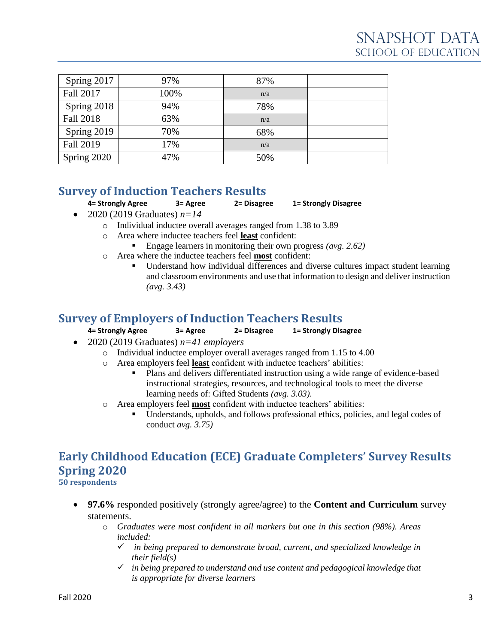| Spring 2017      | 97%  | 87% |  |
|------------------|------|-----|--|
| Fall 2017        | 100% | n/a |  |
| Spring 2018      | 94%  | 78% |  |
| Fall 2018        | 63%  | n/a |  |
| Spring 2019      | 70%  | 68% |  |
| <b>Fall 2019</b> | 17%  | n/a |  |
| Spring 2020      | 47%  | 50% |  |

## **Survey of Induction Teachers Results**

**4= Strongly Agree 3= Agree 2= Disagree 1= Strongly Disagree**

- 2020 (2019 Graduates) *n=14*
	- o Individual inductee overall averages ranged from 1.38 to 3.89
	- o Area where inductee teachers feel **least** confident:
		- Engage learners in monitoring their own progress *(avg. 2.62)*
	- o Area where the inductee teachers feel **most** confident:
		- Understand how individual differences and diverse cultures impact student learning and classroom environments and use that information to design and deliver instruction *(avg. 3.43)*

#### **Survey of Employers of Induction Teachers Results**

#### **4= Strongly Agree 3= Agree 2= Disagree 1= Strongly Disagree**

- 2020 (2019 Graduates) *n=41 employers*
	- o Individual inductee employer overall averages ranged from 1.15 to 4.00
	- o Area employers feel **least** confident with inductee teachers' abilities:
		- Plans and delivers differentiated instruction using a wide range of evidence-based instructional strategies, resources, and technological tools to meet the diverse learning needs of: Gifted Students *(avg. 3.03).*
	- o Area employers feel **most** confident with inductee teachers' abilities:
		- Understands, upholds, and follows professional ethics, policies, and legal codes of conduct *avg. 3.75)*

# **Early Childhood Education (ECE) Graduate Completers' Survey Results Spring 2020**

**50 respondents**

- **97.6%** responded positively (strongly agree/agree) to the **Content and Curriculum** survey statements.
	- o *Graduates were most confident in all markers but one in this section (98%). Areas included:*
		- ✓ *in being prepared to demonstrate broad, current, and specialized knowledge in their field(s)*
		- ✓ *in being prepared to understand and use content and pedagogical knowledge that is appropriate for diverse learners*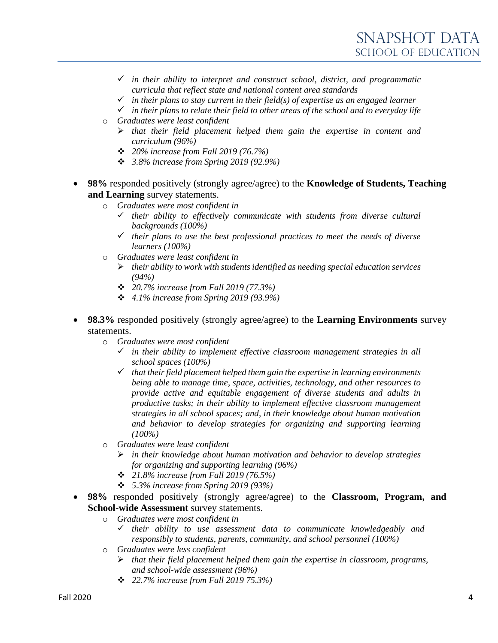- ✓ *in their ability to interpret and construct school, district, and programmatic curricula that reflect state and national content area standards*
- $\checkmark$  *in their plans to stay current in their field(s) of expertise as an engaged learner*
- ✓ *in their plans to relate their field to other areas of the school and to everyday life*
- o *Graduates were least confident*
	- ➢ *that their field placement helped them gain the expertise in content and curriculum (96%)*
	- ❖ *20% increase from Fall 2019 (76.7%)*
	- ❖ *3.8% increase from Spring 2019 (92.9%)*
- **98%** responded positively (strongly agree/agree) to the **Knowledge of Students, Teaching and Learning** survey statements.
	- o *Graduates were most confident in*
		- ✓ *their ability to effectively communicate with students from diverse cultural backgrounds (100%)*
		- ✓ *their plans to use the best professional practices to meet the needs of diverse learners (100%)*
	- o *Graduates were least confident in*
		- ➢ *their ability to work with students identified as needing special education services (94%)*
		- ❖ *20.7% increase from Fall 2019 (77.3%)*
		- ❖ *4.1% increase from Spring 2019 (93.9%)*
- **98.3%** responded positively (strongly agree/agree) to the **Learning Environments** survey statements.
	- o *Graduates were most confident*
		- ✓ *in their ability to implement effective classroom management strategies in all school spaces (100%)*
		- ✓ *that their field placement helped them gain the expertise in learning environments being able to manage time, space, activities, technology, and other resources to provide active and equitable engagement of diverse students and adults in productive tasks; in their ability to implement effective classroom management strategies in all school spaces; and, in their knowledge about human motivation and behavior to develop strategies for organizing and supporting learning (100%)*
	- o *Graduates were least confident*
		- ➢ *in their knowledge about human motivation and behavior to develop strategies for organizing and supporting learning (96%)*
		- ❖ *21.8% increase from Fall 2019 (76.5%)*
		- ❖ *5.3% increase from Spring 2019 (93%)*
- **98%** responded positively (strongly agree/agree) to the **Classroom, Program, and School-wide Assessment** survey statements.
	- o *Graduates were most confident in*
		- ✓ *their ability to use assessment data to communicate knowledgeably and responsibly to students, parents, community, and school personnel (100%)*
	- o *Graduates were less confident*
		- ➢ *that their field placement helped them gain the expertise in classroom, programs, and school-wide assessment (96%)*
		- ❖ *22.7% increase from Fall 2019 75.3%)*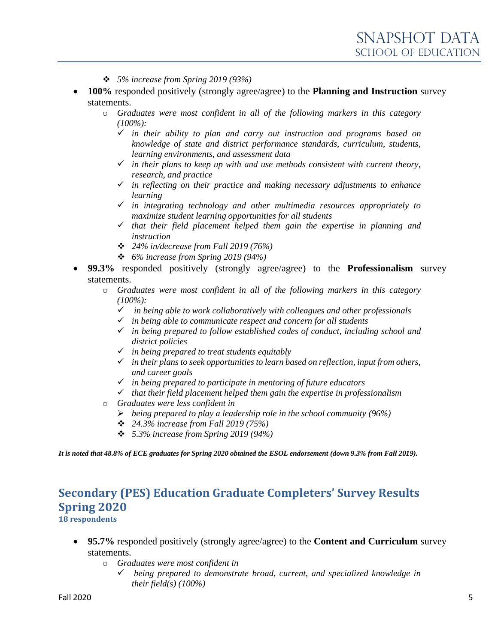- ❖ *5% increase from Spring 2019 (93%)*
- **100%** responded positively (strongly agree/agree) to the **Planning and Instruction** survey statements.
	- o *Graduates were most confident in all of the following markers in this category (100%):*
		- ✓ *in their ability to plan and carry out instruction and programs based on knowledge of state and district performance standards, curriculum, students, learning environments, and assessment data*
		- $\checkmark$  *in their plans to keep up with and use methods consistent with current theory, research, and practice*
		- ✓ *in reflecting on their practice and making necessary adjustments to enhance learning*
		- ✓ *in integrating technology and other multimedia resources appropriately to maximize student learning opportunities for all students*
		- ✓ *that their field placement helped them gain the expertise in planning and instruction*
		- ❖ *24% in/decrease from Fall 2019 (76%)*
		- ❖ *6% increase from Spring 2019 (94%)*
- **99.3%** responded positively (strongly agree/agree) to the **Professionalism** survey statements.
	- o *Graduates were most confident in all of the following markers in this category (100%):*
		- ✓ *in being able to work collaboratively with colleagues and other professionals*
		- ✓ *in being able to communicate respect and concern for all students*
		- ✓ *in being prepared to follow established codes of conduct, including school and district policies*
		- ✓ *in being prepared to treat students equitably*
		- ✓ *in their plans to seek opportunities to learn based on reflection, input from others, and career goals*
		- ✓ *in being prepared to participate in mentoring of future educators*
		- ✓ *that their field placement helped them gain the expertise in professionalism*
	- o *Graduates were less confident in*
		- ➢ *being prepared to play a leadership role in the school community (96%)*
		- ❖ *24.3% increase from Fall 2019 (75%)*
		- ❖ *5.3% increase from Spring 2019 (94%)*

*It is noted that 48.8% of ECE graduates for Spring 2020 obtained the ESOL endorsement (down 9.3% from Fall 2019).*

#### **Secondary (PES) Education Graduate Completers' Survey Results Spring 2020 18 respondents**

- **95.7%** responded positively (strongly agree/agree) to the **Content and Curriculum** survey statements.
	- o *Graduates were most confident in*
		- ✓ *being prepared to demonstrate broad, current, and specialized knowledge in their field(s) (100%)*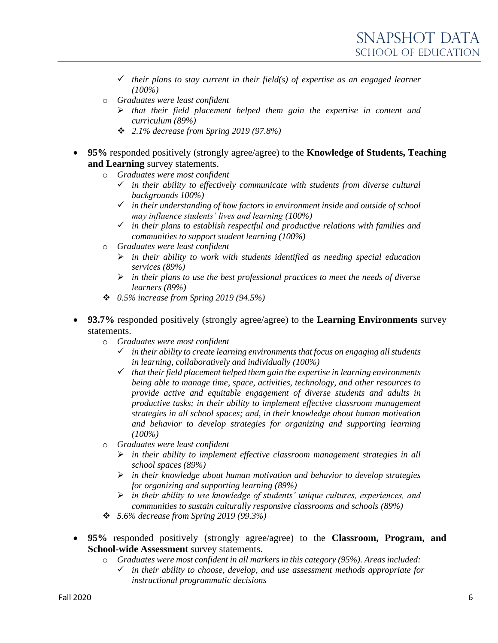- ✓ *their plans to stay current in their field(s) of expertise as an engaged learner (100%)*
- o *Graduates were least confident*
	- ➢ *that their field placement helped them gain the expertise in content and curriculum (89%)*
	- ❖ *2.1% decrease from Spring 2019 (97.8%)*
- **95%** responded positively (strongly agree/agree) to the **Knowledge of Students, Teaching and Learning** survey statements.
	- o *Graduates were most confident*
		- ✓ *in their ability to effectively communicate with students from diverse cultural backgrounds 100%)*
		- ✓ *in their understanding of how factors in environment inside and outside of school may influence students' lives and learning (100%)*
		- ✓ *in their plans to establish respectful and productive relations with families and communities to support student learning (100%)*
	- o *Graduates were least confident*
		- ➢ *in their ability to work with students identified as needing special education services (89%)*
		- ➢ *in their plans to use the best professional practices to meet the needs of diverse learners (89%)*
	- ❖ *0.5% increase from Spring 2019 (94.5%)*
	- **93.7%** responded positively (strongly agree/agree) to the **Learning Environments** survey statements.
		- o *Graduates were most confident*
			- ✓ *in their ability to create learning environments that focus on engaging all students in learning, collaboratively and individually (100%)*
			- ✓ *that their field placement helped them gain the expertise in learning environments being able to manage time, space, activities, technology, and other resources to provide active and equitable engagement of diverse students and adults in productive tasks; in their ability to implement effective classroom management strategies in all school spaces; and, in their knowledge about human motivation and behavior to develop strategies for organizing and supporting learning (100%)*
		- o *Graduates were least confident*
			- ➢ *in their ability to implement effective classroom management strategies in all school spaces (89%)*
			- ➢ *in their knowledge about human motivation and behavior to develop strategies for organizing and supporting learning (89%)*
			- ➢ *in their ability to use knowledge of students' unique cultures, experiences, and communities to sustain culturally responsive classrooms and schools (89%)*
		- ❖ *5.6% decrease from Spring 2019 (99.3%)*
- **95%** responded positively (strongly agree/agree) to the **Classroom, Program, and School-wide Assessment** survey statements.
	- o *Graduates were most confident in all markers in this category (95%). Areas included:*
		- ✓ *in their ability to choose, develop, and use assessment methods appropriate for instructional programmatic decisions*